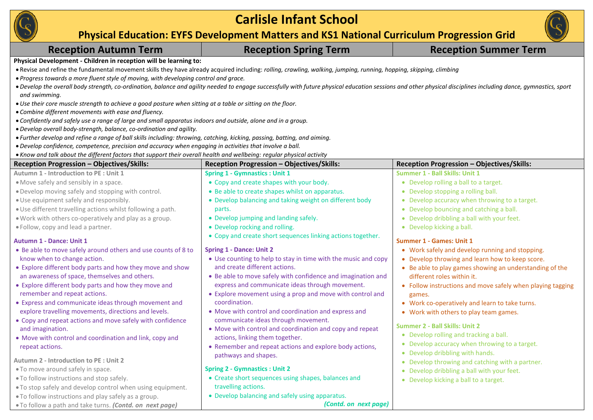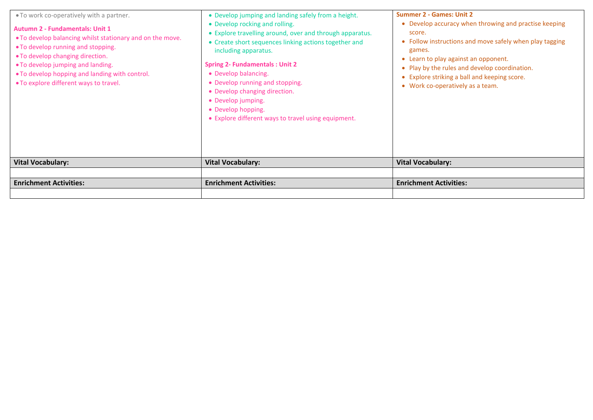| . To work co-operatively with a partner.<br><b>Autumn 2 - Fundamentals: Unit 1</b><br>. To develop balancing whilst stationary and on the move.<br>• To develop running and stopping.<br>• To develop changing direction.<br>• To develop jumping and landing.<br>. To develop hopping and landing with control.<br>• To explore different ways to travel. | • Develop jumping and landing safely from a height.<br>• Develop rocking and rolling.<br>• Explore travelling around, over and through apparatus.<br>• Create short sequences linking actions together and<br>including apparatus.<br><b>Spring 2- Fundamentals: Unit 2</b><br>• Develop balancing.<br>• Develop running and stopping.<br>• Develop changing direction.<br>• Develop jumping.<br>• Develop hopping.<br>• Explore different ways to travel using equipment. | <b>Summer 2 - Games: Unit 2</b><br>• Develop accuracy when throwing and practise keeping<br>score.<br>• Follow instructions and move safely when play tagging<br>games.<br>• Learn to play against an opponent.<br>Play by the rules and develop coordination.<br>• Explore striking a ball and keeping score.<br>• Work co-operatively as a team. |
|------------------------------------------------------------------------------------------------------------------------------------------------------------------------------------------------------------------------------------------------------------------------------------------------------------------------------------------------------------|----------------------------------------------------------------------------------------------------------------------------------------------------------------------------------------------------------------------------------------------------------------------------------------------------------------------------------------------------------------------------------------------------------------------------------------------------------------------------|----------------------------------------------------------------------------------------------------------------------------------------------------------------------------------------------------------------------------------------------------------------------------------------------------------------------------------------------------|
| <b>Vital Vocabulary:</b>                                                                                                                                                                                                                                                                                                                                   | <b>Vital Vocabulary:</b>                                                                                                                                                                                                                                                                                                                                                                                                                                                   | <b>Vital Vocabulary:</b>                                                                                                                                                                                                                                                                                                                           |
|                                                                                                                                                                                                                                                                                                                                                            |                                                                                                                                                                                                                                                                                                                                                                                                                                                                            |                                                                                                                                                                                                                                                                                                                                                    |
| <b>Enrichment Activities:</b>                                                                                                                                                                                                                                                                                                                              | <b>Enrichment Activities:</b>                                                                                                                                                                                                                                                                                                                                                                                                                                              | <b>Enrichment Activities:</b>                                                                                                                                                                                                                                                                                                                      |
|                                                                                                                                                                                                                                                                                                                                                            |                                                                                                                                                                                                                                                                                                                                                                                                                                                                            |                                                                                                                                                                                                                                                                                                                                                    |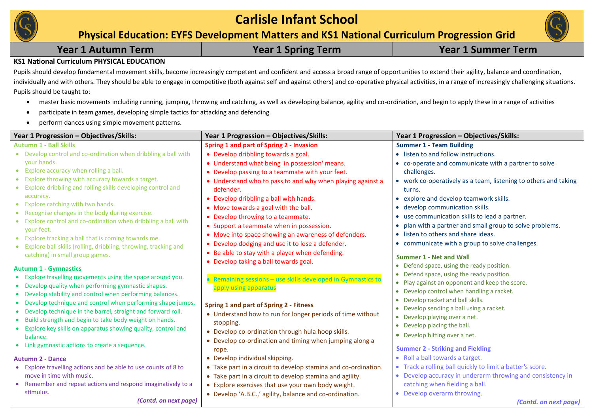

# **Carlisle Infant School**

**Physical Education: EYFS Development Matters and KS1 National Curriculum Progression Grid**

### **KS1 National Curriculum PHYSICAL EDUCATION**

Pupils should develop fundamental movement skills, become increasingly competent and confident and access a broad range of opportunities to extend their agility, balance and coordination, individually and with others. They should be able to engage in competitive (both against self and against others) and co-operative physical activities, in a range of increasingly challenging situations. Pupils should be taught to:

- master basic movements including running, jumping, throwing and catching, as well as developing balance, agility and co-ordination, and begin to apply these in a range of activities
- participate in team games, developing simple tactics for attacking and defending
- perform dances using simple movement patterns.

| Year 1 Progression - Objectives/Skills:                                               | Year 1 Progression - Objectives/Skills:                                                  | Year 1 Progression - Objectives/Skills:                                     |
|---------------------------------------------------------------------------------------|------------------------------------------------------------------------------------------|-----------------------------------------------------------------------------|
| <b>Autumn 1 - Ball Skills</b>                                                         | Spring 1 and part of Spring 2 - Invasion                                                 | <b>Summer 1 - Team Building</b>                                             |
| • Develop control and co-ordination when dribbling a ball with                        | • Develop dribbling towards a goal.                                                      | • listen to and follow instructions.                                        |
| your hands.                                                                           | • Understand what being 'in possession' means.                                           | • co-operate and communicate with a partner to solve                        |
| Explore accuracy when rolling a ball.<br>$\bullet$                                    | • Develop passing to a teammate with your feet.                                          | challenges.                                                                 |
| Explore throwing with accuracy towards a target.                                      | • Understand who to pass to and why when playing against a                               | • work co-operatively as a team, listening to others and taking             |
| Explore dribbling and rolling skills developing control and                           | defender.                                                                                | turns.                                                                      |
| accuracy.                                                                             | • Develop dribbling a ball with hands.                                                   | • explore and develop teamwork skills.                                      |
| Explore catching with two hands.<br>$\bullet$                                         | • Move towards a goal with the ball.                                                     | • develop communication skills.                                             |
| Recognise changes in the body during exercise.<br>$\bullet$                           | • Develop throwing to a teammate.                                                        | • use communication skills to lead a partner.                               |
| Explore control and co-ordination when dribbling a ball with                          | • Support a teammate when in possession.                                                 | • plan with a partner and small group to solve problems.                    |
| your feet.<br>Explore tracking a ball that is coming towards me.<br>$\bullet$         | • Move into space showing an awareness of defenders.                                     | • listen to others and share ideas.                                         |
| Explore ball skills (rolling, dribbling, throwing, tracking and                       | • Develop dodging and use it to lose a defender.                                         | • communicate with a group to solve challenges.                             |
| catching) in small group games.                                                       | • Be able to stay with a player when defending.<br>• Develop taking a ball towards goal. | <b>Summer 1 - Net and Wall</b><br>• Defend space, using the ready position. |
| <b>Autumn 1 - Gymnastics</b>                                                          |                                                                                          | • Defend space, using the ready position.                                   |
| Explore travelling movements using the space around you.                              | • Remaining sessions - use skills developed in Gymnastics to                             | • Play against an opponent and keep the score.                              |
| • Develop quality when performing gymnastic shapes.                                   | apply using apparatus                                                                    | • Develop control when handling a racket.                                   |
| • Develop stability and control when performing balances.                             |                                                                                          | • Develop racket and ball skills.                                           |
| Develop technique and control when performing shape jumps.<br>$\bullet$               | Spring 1 and part of Spring 2 - Fitness                                                  | • Develop sending a ball using a racket.                                    |
| • Develop technique in the barrel, straight and forward roll.                         | • Understand how to run for longer periods of time without                               | • Develop playing over a net.                                               |
| • Build strength and begin to take body weight on hands.                              | stopping.                                                                                | • Develop placing the ball.                                                 |
| Explore key skills on apparatus showing quality, control and<br>$\bullet$<br>balance. | • Develop co-ordination through hula hoop skills.                                        | • Develop hitting over a net.                                               |
| • Link gymnastic actions to create a sequence.                                        | • Develop co-ordination and timing when jumping along a                                  |                                                                             |
|                                                                                       | rope.                                                                                    | <b>Summer 2 - Striking and Fielding</b>                                     |
| <b>Autumn 2 - Dance</b>                                                               | • Develop individual skipping.                                                           | • Roll a ball towards a target.                                             |
| • Explore travelling actions and be able to use counts of 8 to                        | • Take part in a circuit to develop stamina and co-ordination.                           | • Track a rolling ball quickly to limit a batter's score.                   |
| move in time with music.                                                              | • Take part in a circuit to develop stamina and agility.                                 | • Develop accuracy in underarm throwing and consistency in                  |
| • Remember and repeat actions and respond imaginatively to a                          | • Explore exercises that use your own body weight.                                       | catching when fielding a ball.                                              |
| stimulus.                                                                             | • Develop 'A.B.C.,' agility, balance and co-ordination.                                  | • Develop overarm throwing.                                                 |
| (Contd. on next page)                                                                 |                                                                                          | (Contd. on next page)                                                       |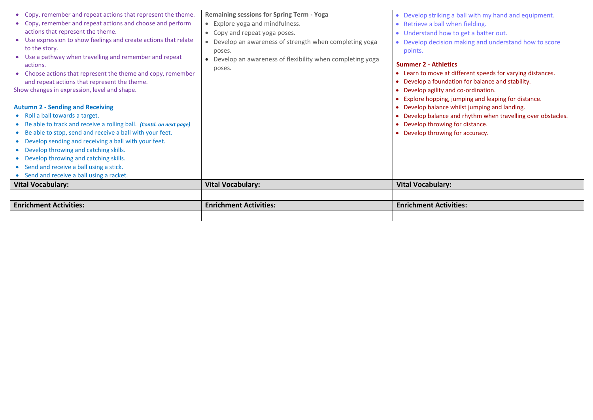| <b>Enrichment Activities:</b>                                                         | <b>Enrichment Activities:</b>                            | <b>Enrichment Activities:</b>                                                                                 |
|---------------------------------------------------------------------------------------|----------------------------------------------------------|---------------------------------------------------------------------------------------------------------------|
|                                                                                       |                                                          |                                                                                                               |
| <b>Vital Vocabulary:</b>                                                              | <b>Vital Vocabulary:</b>                                 | <b>Vital Vocabulary:</b>                                                                                      |
| • Send and receive a ball using a stick.<br>• Send and receive a ball using a racket. |                                                          |                                                                                                               |
| • Develop throwing and catching skills.                                               |                                                          |                                                                                                               |
| • Develop throwing and catching skills.                                               |                                                          |                                                                                                               |
| • Develop sending and receiving a ball with your feet.                                |                                                          |                                                                                                               |
| • Be able to stop, send and receive a ball with your feet.                            |                                                          | • Develop throwing for accuracy.                                                                              |
| • Be able to track and receive a rolling ball. (Contd. on next page)                  |                                                          | • Develop throwing for distance.                                                                              |
| <b>Autumn 2 - Sending and Receiving</b><br>• Roll a ball towards a target.            |                                                          | • Develop balance whilst jumping and landing.<br>• Develop balance and rhythm when travelling over obstacles. |
|                                                                                       |                                                          | • Explore hopping, jumping and leaping for distance.                                                          |
| Show changes in expression, level and shape.                                          |                                                          | • Develop agility and co-ordination.                                                                          |
| and repeat actions that represent the theme.                                          |                                                          | • Develop a foundation for balance and stability.                                                             |
| • Choose actions that represent the theme and copy, remember                          | poses.                                                   | • Learn to move at different speeds for varying distances.                                                    |
| • Use a pathway when travelling and remember and repeat<br>actions.                   | Develop an awareness of flexibility when completing yoga | <b>Summer 2 - Athletics</b>                                                                                   |
| to the story.                                                                         | poses.                                                   | points.                                                                                                       |
| • Use expression to show feelings and create actions that relate                      | Develop an awareness of strength when completing yoga    | • Develop decision making and understand how to score                                                         |
| actions that represent the theme.                                                     | Copy and repeat yoga poses.<br>$\bullet$                 | • Understand how to get a batter out.                                                                         |
| • Copy, remember and repeat actions and choose and perform                            | • Explore yoga and mindfulness.                          | • Retrieve a ball when fielding.                                                                              |
| • Copy, remember and repeat actions that represent the theme.                         | <b>Remaining sessions for Spring Term - Yoga</b>         | • Develop striking a ball with my hand and equipment.                                                         |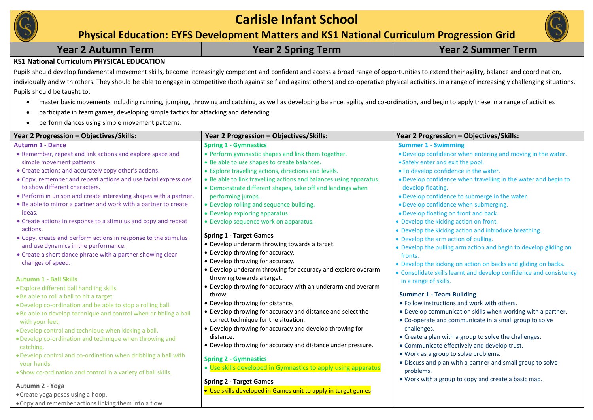

# **Carlisle Infant School**

**Physical Education: EYFS Development Matters and KS1 National Curriculum Progression Grid**

|  |  | <b>Year 2 Autumn Term</b> |  |
|--|--|---------------------------|--|
|--|--|---------------------------|--|

## **Year 2 Autumn Term Year 2 Spring Term Year 2 Summer Term**

### **KS1 National Curriculum PHYSICAL EDUCATION**

Pupils should develop fundamental movement skills, become increasingly competent and confident and access a broad range of opportunities to extend their agility, balance and coordination, individually and with others. They should be able to engage in competitive (both against self and against others) and co-operative physical activities, in a range of increasingly challenging situations. Pupils should be taught to:

- master basic movements including running, jumping, throwing and catching, as well as developing balance, agility and co-ordination, and begin to apply these in a range of activities
- participate in team games, developing simple tactics for attacking and defending
- perform dances using simple movement patterns.

| Year 2 Progression – Objectives/Skills:                                                         | Year 2 Progression – Objectives/Skills:                                                                                          | Year 2 Progression – Objectives/Skills:                                                                               |
|-------------------------------------------------------------------------------------------------|----------------------------------------------------------------------------------------------------------------------------------|-----------------------------------------------------------------------------------------------------------------------|
| <b>Autumn 1 - Dance</b>                                                                         | <b>Spring 1 - Gymnastics</b>                                                                                                     | <b>Summer 1 - Swimming</b>                                                                                            |
| • Remember, repeat and link actions and explore space and                                       | • Perform gymnastic shapes and link them together.                                                                               | . Develop confidence when entering and moving in the water.                                                           |
| simple movement patterns.                                                                       | • Be able to use shapes to create balances.                                                                                      | • Safely enter and exit the pool.                                                                                     |
| • Create actions and accurately copy other's actions.                                           | • Explore travelling actions, directions and levels.                                                                             | . To develop confidence in the water.                                                                                 |
| • Copy, remember and repeat actions and use facial expressions<br>to show different characters. | • Be able to link travelling actions and balances using apparatus.<br>• Demonstrate different shapes, take off and landings when | . Develop confidence when travelling in the water and begin to<br>develop floating.                                   |
| • Perform in unison and create interesting shapes with a partner.                               | performing jumps.                                                                                                                | . Develop confidence to submerge in the water.                                                                        |
| • Be able to mirror a partner and work with a partner to create                                 | • Develop rolling and sequence building.                                                                                         | · Develop confidence when submerging.                                                                                 |
| ideas.                                                                                          | • Develop exploring apparatus.                                                                                                   | . Develop floating on front and back.                                                                                 |
| • Create actions in response to a stimulus and copy and repeat                                  | • Develop sequence work on apparatus.                                                                                            | • Develop the kicking action on front.                                                                                |
| actions.<br>• Copy, create and perform actions in response to the stimulus                      | <b>Spring 1 - Target Games</b>                                                                                                   | • Develop the kicking action and introduce breathing.<br>• Develop the arm action of pulling.                         |
| and use dynamics in the performance.                                                            | • Develop underarm throwing towards a target.                                                                                    | • Develop the pulling arm action and begin to develop gliding on                                                      |
| • Create a short dance phrase with a partner showing clear                                      | • Develop throwing for accuracy.                                                                                                 | fronts.                                                                                                               |
| changes of speed.                                                                               | • Develop throwing for accuracy.                                                                                                 | • Develop the kicking on action on backs and gliding on backs.                                                        |
| <b>Autumn 1 - Ball Skills</b>                                                                   | • Develop underarm throwing for accuracy and explore overarm<br>throwing towards a target.                                       | • Consolidate skills learnt and develop confidence and consistency<br>in a range of skills.                           |
| • Explore different ball handling skills.                                                       | • Develop throwing for accuracy with an underarm and overarm                                                                     |                                                                                                                       |
| . Be able to roll a ball to hit a target.                                                       | throw.                                                                                                                           | <b>Summer 1 - Team Building</b>                                                                                       |
| . Develop co-ordination and be able to stop a rolling ball.                                     | • Develop throwing for distance.                                                                                                 | · Follow instructions and work with others.                                                                           |
| . Be able to develop technique and control when dribbling a ball<br>with your feet.             | • Develop throwing for accuracy and distance and select the<br>correct technique for the situation.                              | • Develop communication skills when working with a partner.<br>• Co-operate and communicate in a small group to solve |
| . Develop control and technique when kicking a ball.                                            | • Develop throwing for accuracy and develop throwing for                                                                         | challenges.                                                                                                           |
| . Develop co-ordination and technique when throwing and                                         | distance.                                                                                                                        | • Create a plan with a group to solve the challenges.                                                                 |
| catching.                                                                                       | • Develop throwing for accuracy and distance under pressure.                                                                     | • Communicate effectively and develop trust.                                                                          |
| . Develop control and co-ordination when dribbling a ball with<br>your hands.                   | <b>Spring 2 - Gymnastics</b>                                                                                                     | • Work as a group to solve problems.<br>• Discuss and plan with a partner and small group to solve                    |
| . Show co-ordination and control in a variety of ball skills.                                   | • Use skills developed in Gymnastics to apply using apparatus                                                                    | problems.                                                                                                             |
|                                                                                                 | <b>Spring 2 - Target Games</b>                                                                                                   | • Work with a group to copy and create a basic map.                                                                   |
| Autumn 2 - Yoga                                                                                 | • Use skills developed in Games unit to apply in target games                                                                    |                                                                                                                       |
| • Create yoga poses using a hoop.                                                               |                                                                                                                                  |                                                                                                                       |
| • Copy and remember actions linking them into a flow.                                           |                                                                                                                                  |                                                                                                                       |